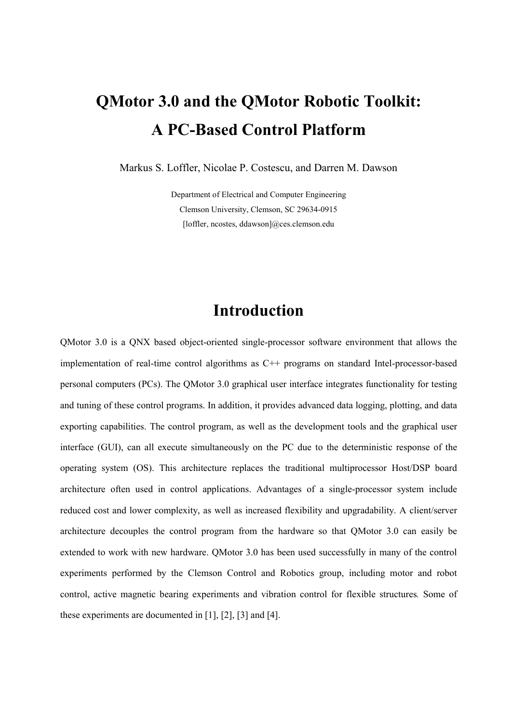# **QMotor 3.0 and the QMotor Robotic Toolkit: A PC-Based Control Platform**

Markus S. Loffler, Nicolae P. Costescu, and Darren M. Dawson

Department of Electrical and Computer Engineering Clemson University, Clemson, SC 29634-0915 [loffler, ncostes, ddawson]@ces.clemson.edu

## **Introduction**

QMotor 3.0 is a QNX based object-oriented single-processor software environment that allows the implementation of real-time control algorithms as C++ programs on standard Intel-processor-based personal computers (PCs). The QMotor 3.0 graphical user interface integrates functionality for testing and tuning of these control programs. In addition, it provides advanced data logging, plotting, and data exporting capabilities. The control program, as well as the development tools and the graphical user interface (GUI), can all execute simultaneously on the PC due to the deterministic response of the operating system (OS). This architecture replaces the traditional multiprocessor Host/DSP board architecture often used in control applications. Advantages of a single-processor system include reduced cost and lower complexity, as well as increased flexibility and upgradability. A client/server architecture decouples the control program from the hardware so that QMotor 3.0 can easily be extended to work with new hardware. QMotor 3.0 has been used successfully in many of the control experiments performed by the Clemson Control and Robotics group, including motor and robot control, active magnetic bearing experiments and vibration control for flexible structures*.* Some of these experiments are documented in [1], [2], [3] and [4].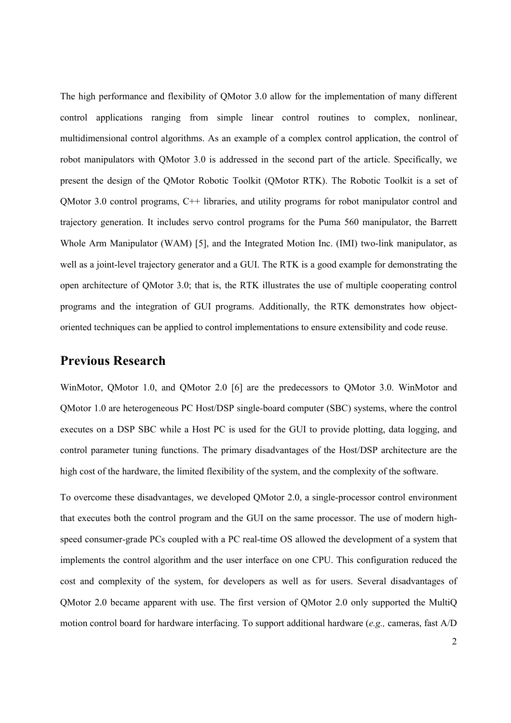The high performance and flexibility of QMotor 3.0 allow for the implementation of many different control applications ranging from simple linear control routines to complex, nonlinear, multidimensional control algorithms. As an example of a complex control application, the control of robot manipulators with QMotor 3.0 is addressed in the second part of the article. Specifically, we present the design of the QMotor Robotic Toolkit (QMotor RTK). The Robotic Toolkit is a set of QMotor 3.0 control programs, C++ libraries, and utility programs for robot manipulator control and trajectory generation. It includes servo control programs for the Puma 560 manipulator, the Barrett Whole Arm Manipulator (WAM) [5], and the Integrated Motion Inc. (IMI) two-link manipulator, as well as a joint-level trajectory generator and a GUI. The RTK is a good example for demonstrating the open architecture of QMotor 3.0; that is, the RTK illustrates the use of multiple cooperating control programs and the integration of GUI programs. Additionally, the RTK demonstrates how objectoriented techniques can be applied to control implementations to ensure extensibility and code reuse.

#### **Previous Research**

WinMotor, QMotor 1.0, and QMotor 2.0 [6] are the predecessors to QMotor 3.0. WinMotor and QMotor 1.0 are heterogeneous PC Host/DSP single-board computer (SBC) systems, where the control executes on a DSP SBC while a Host PC is used for the GUI to provide plotting, data logging, and control parameter tuning functions. The primary disadvantages of the Host/DSP architecture are the high cost of the hardware, the limited flexibility of the system, and the complexity of the software.

To overcome these disadvantages, we developed QMotor 2.0, a single-processor control environment that executes both the control program and the GUI on the same processor. The use of modern highspeed consumer-grade PCs coupled with a PC real-time OS allowed the development of a system that implements the control algorithm and the user interface on one CPU. This configuration reduced the cost and complexity of the system, for developers as well as for users. Several disadvantages of QMotor 2.0 became apparent with use. The first version of QMotor 2.0 only supported the MultiQ motion control board for hardware interfacing. To support additional hardware (*e.g.,* cameras, fast A/D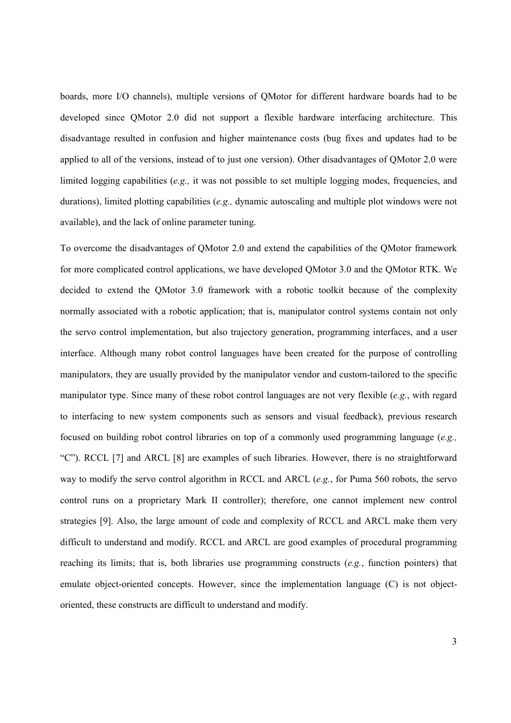boards, more I/O channels), multiple versions of QMotor for different hardware boards had to be developed since QMotor 2.0 did not support a flexible hardware interfacing architecture. This disadvantage resulted in confusion and higher maintenance costs (bug fixes and updates had to be applied to all of the versions, instead of to just one version). Other disadvantages of QMotor 2.0 were limited logging capabilities (*e.g.,* it was not possible to set multiple logging modes, frequencies, and durations), limited plotting capabilities (*e.g.,* dynamic autoscaling and multiple plot windows were not available), and the lack of online parameter tuning.

To overcome the disadvantages of QMotor 2.0 and extend the capabilities of the QMotor framework for more complicated control applications, we have developed QMotor 3.0 and the QMotor RTK. We decided to extend the QMotor 3.0 framework with a robotic toolkit because of the complexity normally associated with a robotic application; that is, manipulator control systems contain not only the servo control implementation, but also trajectory generation, programming interfaces, and a user interface. Although many robot control languages have been created for the purpose of controlling manipulators, they are usually provided by the manipulator vendor and custom-tailored to the specific manipulator type. Since many of these robot control languages are not very flexible (*e.g.*, with regard to interfacing to new system components such as sensors and visual feedback), previous research focused on building robot control libraries on top of a commonly used programming language (*e.g.,* "C"). RCCL [7] and ARCL [8] are examples of such libraries. However, there is no straightforward way to modify the servo control algorithm in RCCL and ARCL (*e.g.*, for Puma 560 robots, the servo control runs on a proprietary Mark II controller); therefore, one cannot implement new control strategies [9]. Also, the large amount of code and complexity of RCCL and ARCL make them very difficult to understand and modify. RCCL and ARCL are good examples of procedural programming reaching its limits; that is, both libraries use programming constructs (*e.g.*, function pointers) that emulate object-oriented concepts. However, since the implementation language (C) is not objectoriented, these constructs are difficult to understand and modify.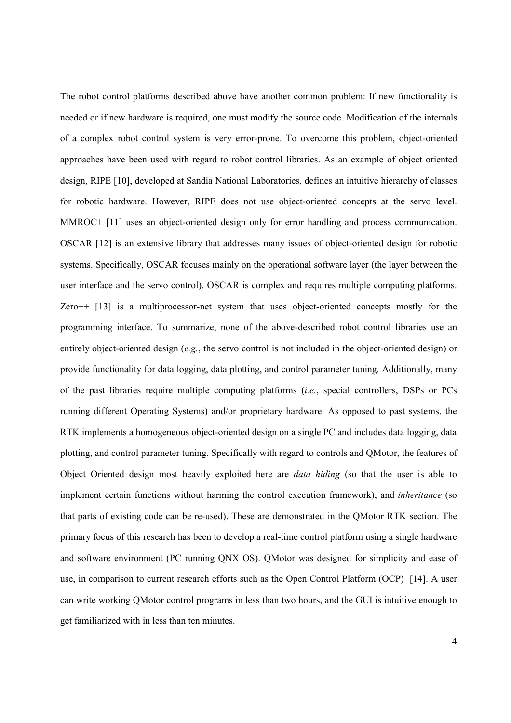The robot control platforms described above have another common problem: If new functionality is needed or if new hardware is required, one must modify the source code. Modification of the internals of a complex robot control system is very error-prone. To overcome this problem, object-oriented approaches have been used with regard to robot control libraries. As an example of object oriented design, RIPE [10], developed at Sandia National Laboratories, defines an intuitive hierarchy of classes for robotic hardware. However, RIPE does not use object-oriented concepts at the servo level. MMROC+ [11] uses an object-oriented design only for error handling and process communication. OSCAR [12] is an extensive library that addresses many issues of object-oriented design for robotic systems. Specifically, OSCAR focuses mainly on the operational software layer (the layer between the user interface and the servo control). OSCAR is complex and requires multiple computing platforms. Zero++ [13] is a multiprocessor-net system that uses object-oriented concepts mostly for the programming interface. To summarize, none of the above-described robot control libraries use an entirely object-oriented design (*e.g.*, the servo control is not included in the object-oriented design) or provide functionality for data logging, data plotting, and control parameter tuning. Additionally, many of the past libraries require multiple computing platforms (*i.e.*, special controllers, DSPs or PCs running different Operating Systems) and/or proprietary hardware. As opposed to past systems, the RTK implements a homogeneous object-oriented design on a single PC and includes data logging, data plotting, and control parameter tuning. Specifically with regard to controls and QMotor, the features of Object Oriented design most heavily exploited here are *data hiding* (so that the user is able to implement certain functions without harming the control execution framework), and *inheritance* (so that parts of existing code can be re-used). These are demonstrated in the QMotor RTK section. The primary focus of this research has been to develop a real-time control platform using a single hardware and software environment (PC running QNX OS). QMotor was designed for simplicity and ease of use, in comparison to current research efforts such as the Open Control Platform (OCP) [14]. A user can write working QMotor control programs in less than two hours, and the GUI is intuitive enough to get familiarized with in less than ten minutes.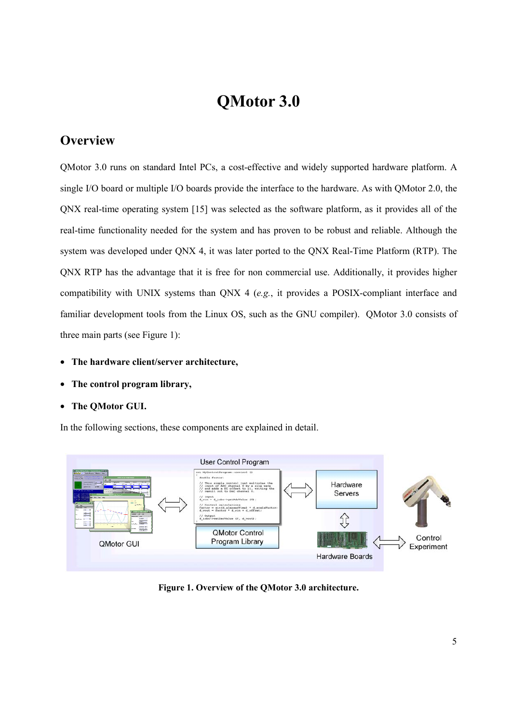## **QMotor 3.0**

### **Overview**

QMotor 3.0 runs on standard Intel PCs, a cost-effective and widely supported hardware platform. A single I/O board or multiple I/O boards provide the interface to the hardware. As with QMotor 2.0, the QNX real-time operating system [15] was selected as the software platform, as it provides all of the real-time functionality needed for the system and has proven to be robust and reliable. Although the system was developed under QNX 4, it was later ported to the QNX Real-Time Platform (RTP). The QNX RTP has the advantage that it is free for non commercial use. Additionally, it provides higher compatibility with UNIX systems than QNX 4 (*e.g.*, it provides a POSIX-compliant interface and familiar development tools from the Linux OS, such as the GNU compiler). QMotor 3.0 consists of three main parts (see Figure 1):

- **The hardware client/server architecture,**
- **The control program library,**
- **The QMotor GUI.**

In the following sections, these components are explained in detail.



**Figure 1. Overview of the QMotor 3.0 architecture.**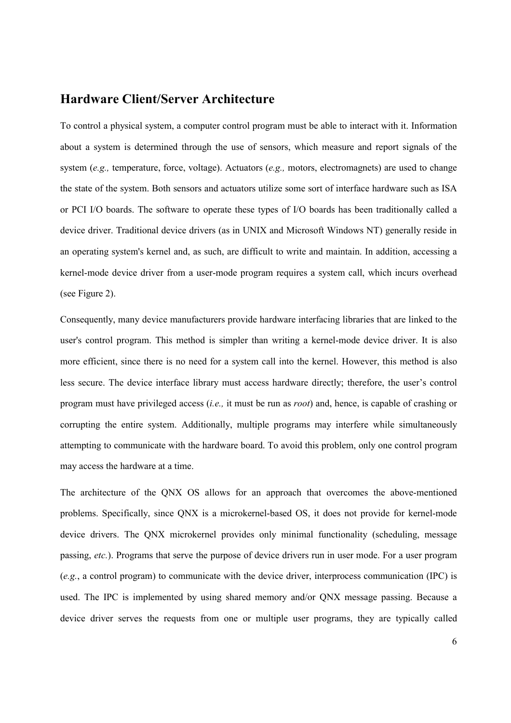#### **Hardware Client/Server Architecture**

To control a physical system, a computer control program must be able to interact with it. Information about a system is determined through the use of sensors, which measure and report signals of the system (*e.g.,* temperature, force, voltage). Actuators (*e.g.,* motors, electromagnets) are used to change the state of the system. Both sensors and actuators utilize some sort of interface hardware such as ISA or PCI I/O boards. The software to operate these types of I/O boards has been traditionally called a device driver. Traditional device drivers (as in UNIX and Microsoft Windows NT) generally reside in an operating system's kernel and, as such, are difficult to write and maintain. In addition, accessing a kernel-mode device driver from a user-mode program requires a system call, which incurs overhead (see Figure 2).

Consequently, many device manufacturers provide hardware interfacing libraries that are linked to the user's control program. This method is simpler than writing a kernel-mode device driver. It is also more efficient, since there is no need for a system call into the kernel. However, this method is also less secure. The device interface library must access hardware directly; therefore, the user's control program must have privileged access (*i.e.,* it must be run as *root*) and, hence, is capable of crashing or corrupting the entire system. Additionally, multiple programs may interfere while simultaneously attempting to communicate with the hardware board. To avoid this problem, only one control program may access the hardware at a time.

The architecture of the QNX OS allows for an approach that overcomes the above-mentioned problems. Specifically, since QNX is a microkernel-based OS, it does not provide for kernel-mode device drivers. The QNX microkernel provides only minimal functionality (scheduling, message passing, *etc.*). Programs that serve the purpose of device drivers run in user mode. For a user program (*e.g.*, a control program) to communicate with the device driver, interprocess communication (IPC) is used. The IPC is implemented by using shared memory and/or QNX message passing. Because a device driver serves the requests from one or multiple user programs, they are typically called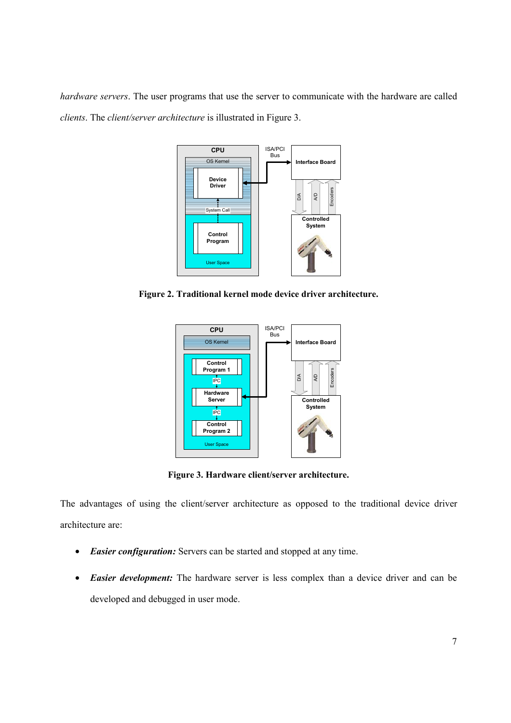*hardware servers*. The user programs that use the server to communicate with the hardware are called *clients*. The *client/server architecture* is illustrated in Figure 3.



**Figure 2. Traditional kernel mode device driver architecture.** 



**Figure 3. Hardware client/server architecture.** 

The advantages of using the client/server architecture as opposed to the traditional device driver architecture are:

- *Easier configuration:* Servers can be started and stopped at any time.
- *Easier development:* The hardware server is less complex than a device driver and can be developed and debugged in user mode.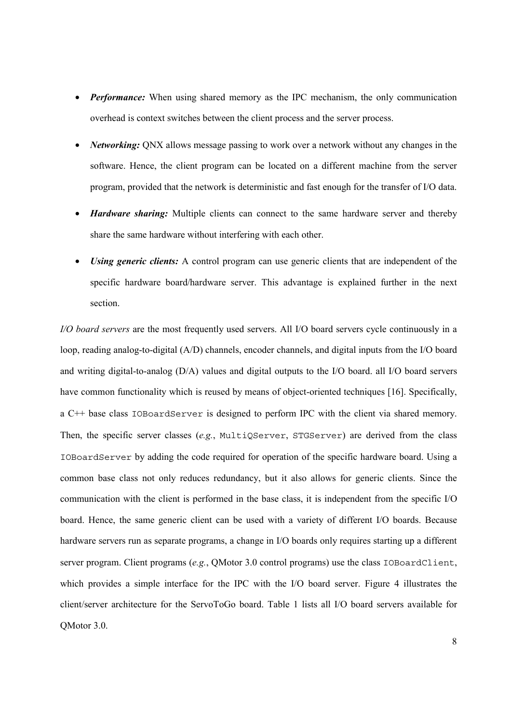- *Performance:* When using shared memory as the IPC mechanism, the only communication overhead is context switches between the client process and the server process.
- *Networking:* QNX allows message passing to work over a network without any changes in the software. Hence, the client program can be located on a different machine from the server program, provided that the network is deterministic and fast enough for the transfer of I/O data.
- *Hardware sharing:* Multiple clients can connect to the same hardware server and thereby share the same hardware without interfering with each other.
- *Using generic clients:* A control program can use generic clients that are independent of the specific hardware board/hardware server. This advantage is explained further in the next section.

*I/O board servers* are the most frequently used servers. All I/O board servers cycle continuously in a loop, reading analog-to-digital (A/D) channels, encoder channels, and digital inputs from the I/O board and writing digital-to-analog (D/A) values and digital outputs to the I/O board. all I/O board servers have common functionality which is reused by means of object-oriented techniques [16]. Specifically, a C++ base class IOBoardServer is designed to perform IPC with the client via shared memory. Then, the specific server classes (*e.g.*, MultiQServer, STGServer) are derived from the class IOBoardServer by adding the code required for operation of the specific hardware board. Using a common base class not only reduces redundancy, but it also allows for generic clients. Since the communication with the client is performed in the base class, it is independent from the specific I/O board. Hence, the same generic client can be used with a variety of different I/O boards. Because hardware servers run as separate programs, a change in I/O boards only requires starting up a different server program. Client programs (*e.g.*, QMotor 3.0 control programs) use the class IOBoardClient, which provides a simple interface for the IPC with the I/O board server. Figure 4 illustrates the client/server architecture for the ServoToGo board. Table 1 lists all I/O board servers available for QMotor 3.0.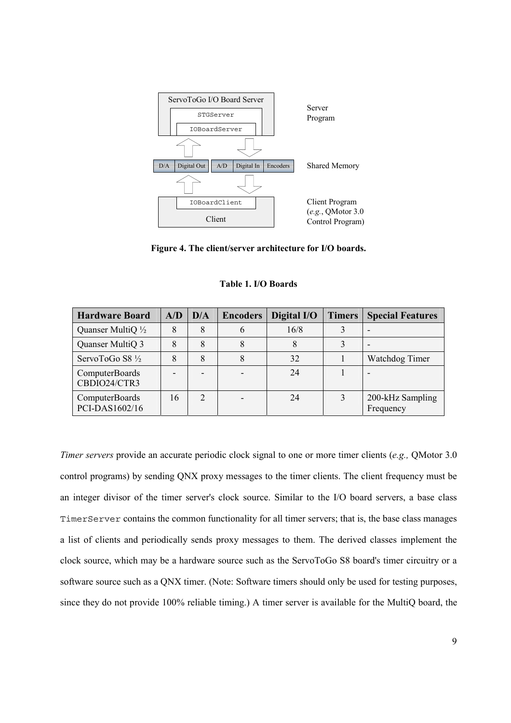

**Figure 4. The client/server architecture for I/O boards.** 

| <b>Hardware Board</b>            | A/D | $\mathbf{D}/\mathbf{A}$ | <b>Encoders</b> | Digital I/O | <b>Timers</b> | <b>Special Features</b>       |
|----------------------------------|-----|-------------------------|-----------------|-------------|---------------|-------------------------------|
| Quanser MultiQ $\frac{1}{2}$     | 8   | 8                       | O               | 16/8        |               |                               |
| Quanser MultiQ 3                 | 8   | 8                       | 8               | 8           |               | $\overline{\phantom{0}}$      |
| ServoToGo S8 $\frac{1}{2}$       | 8   | 8                       | 8               | 32          |               | Watchdog Timer                |
| ComputerBoards<br>CBDIO24/CTR3   | -   |                         |                 | 24          |               |                               |
| ComputerBoards<br>PCI-DAS1602/16 | 16  | $\mathcal{L}$           |                 | 24          |               | 200-kHz Sampling<br>Frequency |

**Table 1. I/O Boards** 

*Timer servers* provide an accurate periodic clock signal to one or more timer clients (*e.g.,* QMotor 3.0 control programs) by sending QNX proxy messages to the timer clients. The client frequency must be an integer divisor of the timer server's clock source. Similar to the I/O board servers, a base class TimerServer contains the common functionality for all timer servers; that is, the base class manages a list of clients and periodically sends proxy messages to them. The derived classes implement the clock source, which may be a hardware source such as the ServoToGo S8 board's timer circuitry or a software source such as a QNX timer. (Note: Software timers should only be used for testing purposes, since they do not provide 100% reliable timing.) A timer server is available for the MultiQ board, the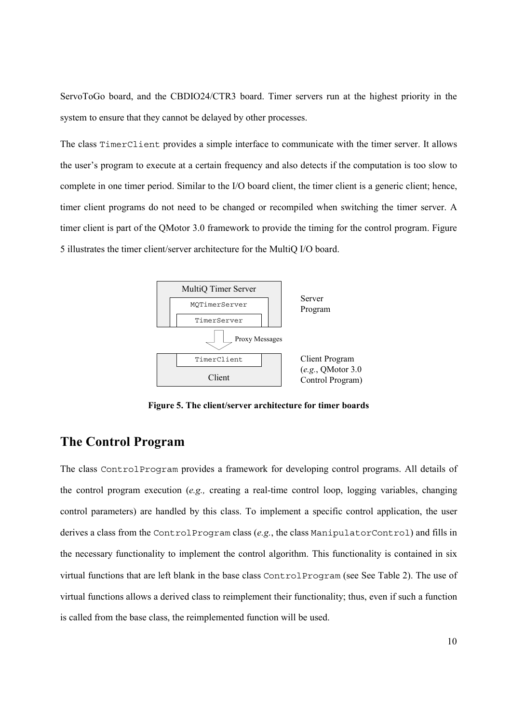ServoToGo board, and the CBDIO24/CTR3 board. Timer servers run at the highest priority in the system to ensure that they cannot be delayed by other processes.

The class TimerClient provides a simple interface to communicate with the timer server. It allows the user's program to execute at a certain frequency and also detects if the computation is too slow to complete in one timer period. Similar to the I/O board client, the timer client is a generic client; hence, timer client programs do not need to be changed or recompiled when switching the timer server. A timer client is part of the QMotor 3.0 framework to provide the timing for the control program. Figure 5 illustrates the timer client/server architecture for the MultiQ I/O board.



**Figure 5. The client/server architecture for timer boards** 

### **The Control Program**

The class ControlProgram provides a framework for developing control programs. All details of the control program execution (*e.g.,* creating a real-time control loop, logging variables, changing control parameters) are handled by this class. To implement a specific control application, the user derives a class from the ControlProgram class (*e.g.*, the class ManipulatorControl) and fills in the necessary functionality to implement the control algorithm. This functionality is contained in six virtual functions that are left blank in the base class ControlProgram (see See Table 2). The use of virtual functions allows a derived class to reimplement their functionality; thus, even if such a function is called from the base class, the reimplemented function will be used.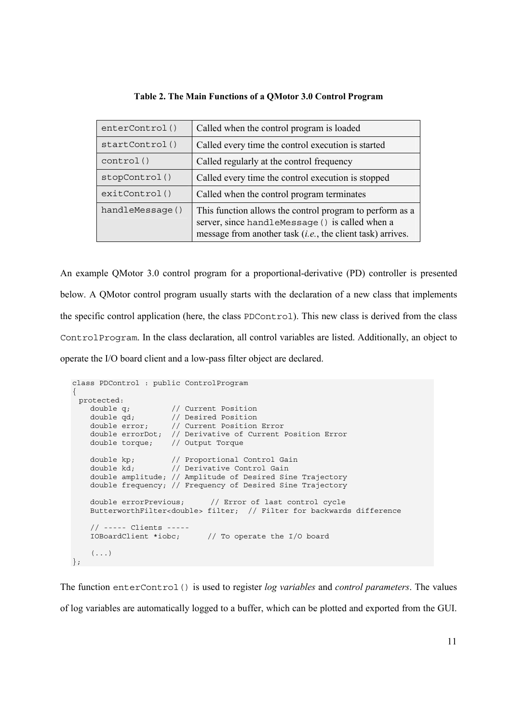| enterControl()  | Called when the control program is loaded                                                                                                                                   |
|-----------------|-----------------------------------------------------------------------------------------------------------------------------------------------------------------------------|
| startControl()  | Called every time the control execution is started                                                                                                                          |
| control()       | Called regularly at the control frequency                                                                                                                                   |
| stopControl()   | Called every time the control execution is stopped                                                                                                                          |
| extControl()    | Called when the control program terminates                                                                                                                                  |
| handleMessage() | This function allows the control program to perform as a<br>server, since handleMessage () is called when a<br>message from another task $(i.e.,$ the client task) arrives. |

#### **Table 2. The Main Functions of a QMotor 3.0 Control Program**

An example QMotor 3.0 control program for a proportional-derivative (PD) controller is presented below. A QMotor control program usually starts with the declaration of a new class that implements the specific control application (here, the class PDControl). This new class is derived from the class ControlProgram. In the class declaration, all control variables are listed. Additionally, an object to operate the I/O board client and a low-pass filter object are declared.

```
class PDControl : public ControlProgram
{
 protected:
    double q; // Current Position
    double qd; // Desired Position
    double error; // Current Position Error
    double errorDot; // Derivative of Current Position Error
    double torque; // Output Torque
   double kp; // Proportional Control Gain
    double kd; // Derivative Control Gain
    double amplitude; // Amplitude of Desired Sine Trajectory
   double frequency; // Frequency of Desired Sine Trajectory
   double errorPrevious; // Error of last control cycle
   ButterworthFilter<double> filter; // Filter for backwards difference
   // ----- Clients -----
   IOBoardClient *iobc; // To operate the I/O board
    (\ldots)};
```
The function enterControl() is used to register *log variables* and *control parameters*. The values of log variables are automatically logged to a buffer, which can be plotted and exported from the GUI.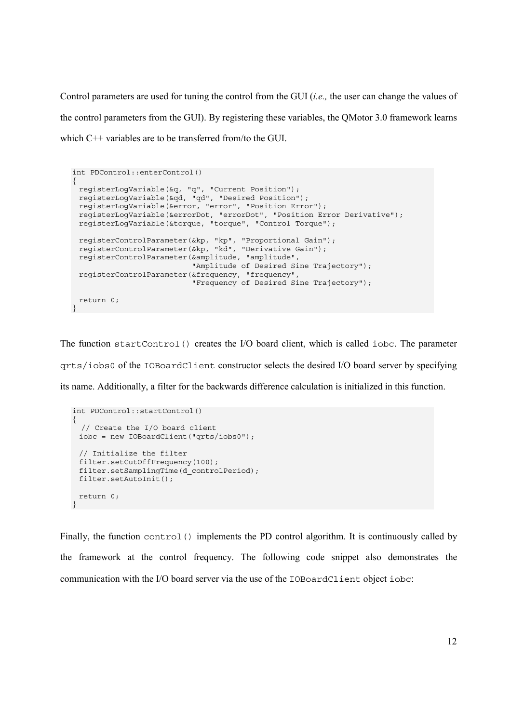Control parameters are used for tuning the control from the GUI (*i.e.,* the user can change the values of the control parameters from the GUI). By registering these variables, the QMotor 3.0 framework learns which C<sup>++</sup> variables are to be transferred from/to the GUI.

```
int PDControl::enterControl()
{
 registerLogVariable(&q, "q", "Current Position");
 registerLogVariable(&qd, "qd", "Desired Position");
 registerLogVariable(&error, "error", "Position Error");
 registerLogVariable(&errorDot, "errorDot", "Position Error Derivative");
 registerLogVariable(&torque, "torque", "Control Torque");
 registerControlParameter(&kp, "kp", "Proportional Gain");
 registerControlParameter(&kp, "kd", "Derivative Gain");
 registerControlParameter(&amplitude, "amplitude",
                           "Amplitude of Desired Sine Trajectory");
 registerControlParameter(&frequency, "frequency",
                          "Frequency of Desired Sine Trajectory");
 return 0;
}
```
The function startControl() creates the I/O board client, which is called iobc. The parameter qrts/iobs0 of the IOBoardClient constructor selects the desired I/O board server by specifying its name. Additionally, a filter for the backwards difference calculation is initialized in this function.

```
int PDControl::startControl()
{
  // Create the I/O board client
 iobc = new IOBoardClient("qrts/iobs0");
 // Initialize the filter
 filter.setCutOffFrequency(100);
 filter.setSamplingTime(d_controlPeriod);
 filter.setAutoInit();
 return 0;
}
```
Finally, the function control() implements the PD control algorithm. It is continuously called by the framework at the control frequency. The following code snippet also demonstrates the communication with the I/O board server via the use of the IOBoardClient object iobc: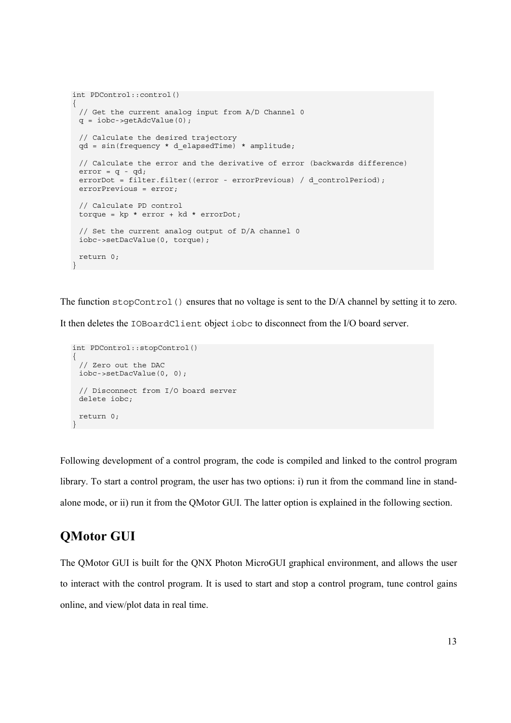```
int PDControl::control()
{
 // Get the current analog input from A/D Channel 0
 q = iobc->getAdcValue(0);
 // Calculate the desired trajectory
 qd = sin(frequency * d_elapsedTime) * amplitude;
 // Calculate the error and the derivative of error (backwards difference)
 error = q - qd;
 errorDot = filter.filter((error - errorPrevious) / d controlPeriod);
 errorPrevious = error;
 // Calculate PD control
 torque = kp * error + kd * errorDot;// Set the current analog output of D/A channel 0
 iobc->setDacValue(0, torque);
 return 0;
}
```
The function stopControl() ensures that no voltage is sent to the D/A channel by setting it to zero.

It then deletes the IOBoardClient object iobc to disconnect from the I/O board server.

```
int PDControl::stopControl()
{
 // Zero out the DAC
 iobc->setDacValue(0, 0);
 // Disconnect from I/O board server
 delete iobc;
 return 0;
}
```
Following development of a control program, the code is compiled and linked to the control program library. To start a control program, the user has two options: i) run it from the command line in standalone mode, or ii) run it from the QMotor GUI. The latter option is explained in the following section.

### **QMotor GUI**

The QMotor GUI is built for the QNX Photon MicroGUI graphical environment, and allows the user to interact with the control program. It is used to start and stop a control program, tune control gains online, and view/plot data in real time.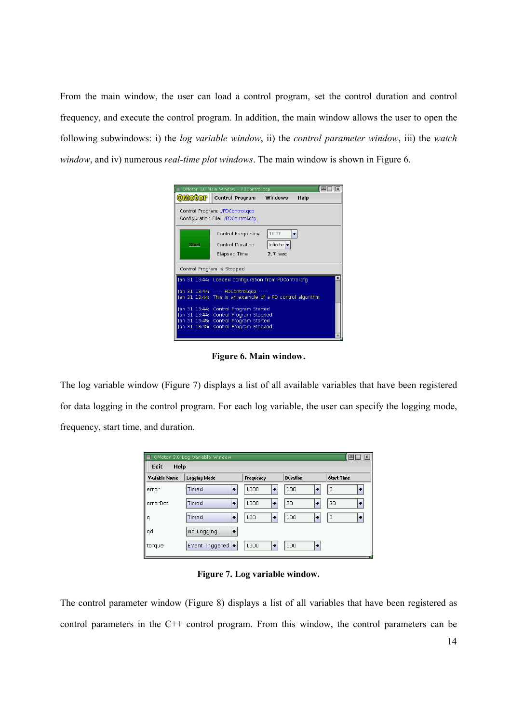From the main window, the user can load a control program, set the control duration and control frequency, and execute the control program. In addition, the main window allows the user to open the following subwindows: i) the *log variable window*, ii) the *control parameter window*, iii) the *watch window*, and iv) numerous *real-time plot windows*. The main window is shown in Figure 6.



**Figure 6. Main window.** 

The log variable window (Figure 7) displays a list of all available variables that have been registered for data logging in the control program. For each log variable, the user can specify the logging mode, frequency, start time, and duration.

|               | QMotor 3.0 Log Variable Window |           |                  | 트<br>lo           |
|---------------|--------------------------------|-----------|------------------|-------------------|
| Edit<br>Help  |                                |           |                  |                   |
| Variable Name | <b>Logging Mode</b>            | Frequency | <b>Duration</b>  | <b>Start Time</b> |
| error         | Timed<br>۰                     | 1000      | 100              | 0                 |
| errorDot      | Timed<br>۰                     | 1000<br>۰ | 50<br>۰          | 20<br>۰           |
| q             | Timed<br>٠                     | 100<br>٠  | 100<br>$\bullet$ | 0<br>۰            |
| qd            | No Logging<br>۰                |           |                  |                   |
| torque        | Event Triggered +              | 1000      | 100<br>$\bullet$ |                   |

**Figure 7. Log variable window.** 

The control parameter window (Figure 8) displays a list of all variables that have been registered as control parameters in the C++ control program. From this window, the control parameters can be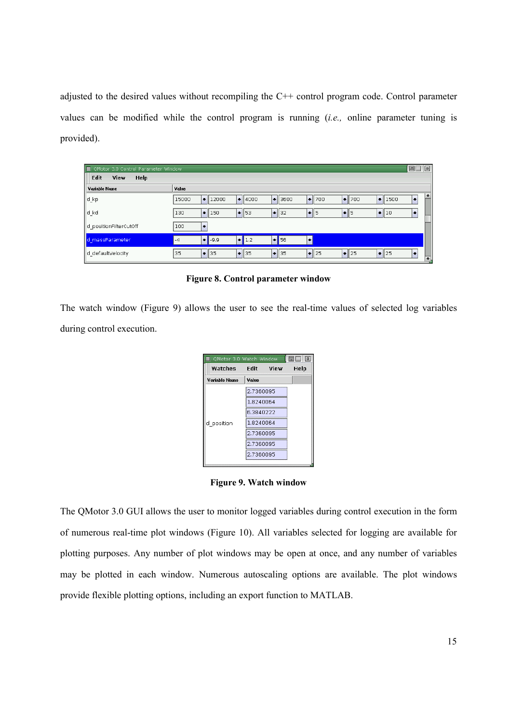adjusted to the desired values without recompiling the C++ control program code. Control parameter values can be modified while the control program is running (*i.e.,* online parameter tuning is provided).

| E QMotor 3.0 Control Parameter Window |                                                                                                                                                            | 国口<br>$\Box$                      |
|---------------------------------------|------------------------------------------------------------------------------------------------------------------------------------------------------------|-----------------------------------|
| Edit<br>View<br>Help                  |                                                                                                                                                            |                                   |
| Variable Name                         | Value                                                                                                                                                      |                                   |
| ld_kp                                 | $+ 700$<br>$\bullet$ 12000<br>$-$ 3600<br>$\vert\bullet\vert$ 1500<br>15000<br>$\bullet$ 4000<br>$\vert\bullet\vert\vert$ 700                              | $\bullet$<br>$\bullet$            |
| $\parallel$ d_kd                      | $\bullet$ 53<br>$\left  \bullet \right $ 32<br>$  \bullet  $ 5<br>$\vert \bullet \vert \vert 10$<br>$\bullet$ 150<br>15<br>130<br>$\left  \bullet \right $ | ÷                                 |
| d positionFilterCutOff                | 100                                                                                                                                                        |                                   |
| d_massParameter                       | $\ddot{\phantom{1}}$<br>$\big  \bullet \big $ 56<br>$\vert  -9.9 \vert$<br>$\bullet$ 1.2<br>$-4$<br>ы                                                      |                                   |
| d defaultVelocity                     | 35<br>$\vert$ + 25<br>$\big  \bullet \big  25$<br>$\bullet$ 35<br>$\big\lVert \bullet \big\rVert$ 35<br>$\vert \cdot \vert$ 25<br>$\big  \bullet \big  35$ | $\bullet$<br>$\overline{\bullet}$ |

**Figure 8. Control parameter window** 

The watch window (Figure 9) allows the user to see the real-time values of selected log variables during control execution.

|               | OMotor 3.0 Watch Window |      |
|---------------|-------------------------|------|
| Watches       | Edit<br>View            | Help |
| Variable Name | Value                   |      |
|               | 2.7360095               |      |
|               | 1.8240064               |      |
|               | 6.3840222               |      |
| d position    | 1.8240064               |      |
|               | 2.7360095               |      |
|               | 2.7360095               |      |
|               | 2.7360095               |      |
|               |                         |      |

**Figure 9. Watch window** 

The QMotor 3.0 GUI allows the user to monitor logged variables during control execution in the form of numerous real-time plot windows (Figure 10). All variables selected for logging are available for plotting purposes. Any number of plot windows may be open at once, and any number of variables may be plotted in each window. Numerous autoscaling options are available. The plot windows provide flexible plotting options, including an export function to MATLAB.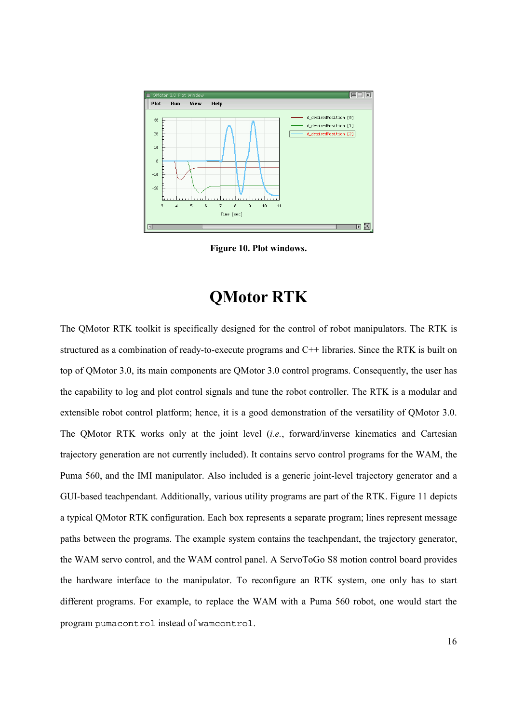

**Figure 10. Plot windows.** 

## **QMotor RTK**

The QMotor RTK toolkit is specifically designed for the control of robot manipulators. The RTK is structured as a combination of ready-to-execute programs and C++ libraries. Since the RTK is built on top of QMotor 3.0, its main components are QMotor 3.0 control programs. Consequently, the user has the capability to log and plot control signals and tune the robot controller. The RTK is a modular and extensible robot control platform; hence, it is a good demonstration of the versatility of QMotor 3.0. The QMotor RTK works only at the joint level (*i.e.*, forward/inverse kinematics and Cartesian trajectory generation are not currently included). It contains servo control programs for the WAM, the Puma 560, and the IMI manipulator. Also included is a generic joint-level trajectory generator and a GUI-based teachpendant. Additionally, various utility programs are part of the RTK. Figure 11 depicts a typical QMotor RTK configuration. Each box represents a separate program; lines represent message paths between the programs. The example system contains the teachpendant, the trajectory generator, the WAM servo control, and the WAM control panel. A ServoToGo S8 motion control board provides the hardware interface to the manipulator. To reconfigure an RTK system, one only has to start different programs. For example, to replace the WAM with a Puma 560 robot, one would start the program pumacontrol instead of wamcontrol.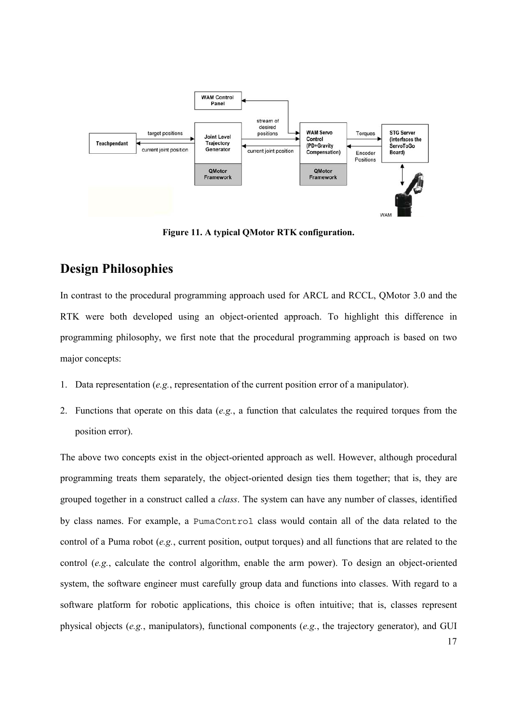

**Figure 11. A typical QMotor RTK configuration.** 

### **Design Philosophies**

In contrast to the procedural programming approach used for ARCL and RCCL, QMotor 3.0 and the RTK were both developed using an object-oriented approach. To highlight this difference in programming philosophy, we first note that the procedural programming approach is based on two major concepts:

- 1. Data representation (*e.g.*, representation of the current position error of a manipulator).
- 2. Functions that operate on this data (*e.g.*, a function that calculates the required torques from the position error).

The above two concepts exist in the object-oriented approach as well. However, although procedural programming treats them separately, the object-oriented design ties them together; that is, they are grouped together in a construct called a *class*. The system can have any number of classes, identified by class names. For example, a PumaControl class would contain all of the data related to the control of a Puma robot (*e.g.*, current position, output torques) and all functions that are related to the control (*e.g.*, calculate the control algorithm, enable the arm power). To design an object-oriented system, the software engineer must carefully group data and functions into classes. With regard to a software platform for robotic applications, this choice is often intuitive; that is, classes represent physical objects (*e.g.*, manipulators), functional components (*e.g.*, the trajectory generator), and GUI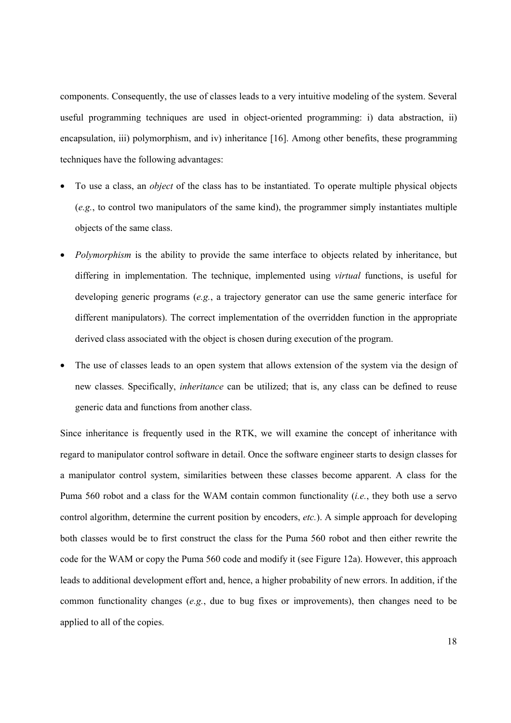components. Consequently, the use of classes leads to a very intuitive modeling of the system. Several useful programming techniques are used in object-oriented programming: i) data abstraction, ii) encapsulation, iii) polymorphism, and iv) inheritance [16]. Among other benefits, these programming techniques have the following advantages:

- To use a class, an *object* of the class has to be instantiated. To operate multiple physical objects (*e.g.*, to control two manipulators of the same kind), the programmer simply instantiates multiple objects of the same class.
- *Polymorphism* is the ability to provide the same interface to objects related by inheritance, but differing in implementation. The technique, implemented using *virtual* functions, is useful for developing generic programs (*e.g.*, a trajectory generator can use the same generic interface for different manipulators). The correct implementation of the overridden function in the appropriate derived class associated with the object is chosen during execution of the program.
- The use of classes leads to an open system that allows extension of the system via the design of new classes. Specifically, *inheritance* can be utilized; that is, any class can be defined to reuse generic data and functions from another class.

Since inheritance is frequently used in the RTK, we will examine the concept of inheritance with regard to manipulator control software in detail. Once the software engineer starts to design classes for a manipulator control system, similarities between these classes become apparent. A class for the Puma 560 robot and a class for the WAM contain common functionality (*i.e.*, they both use a servo control algorithm, determine the current position by encoders, *etc.*). A simple approach for developing both classes would be to first construct the class for the Puma 560 robot and then either rewrite the code for the WAM or copy the Puma 560 code and modify it (see Figure 12a). However, this approach leads to additional development effort and, hence, a higher probability of new errors. In addition, if the common functionality changes (*e.g.*, due to bug fixes or improvements), then changes need to be applied to all of the copies.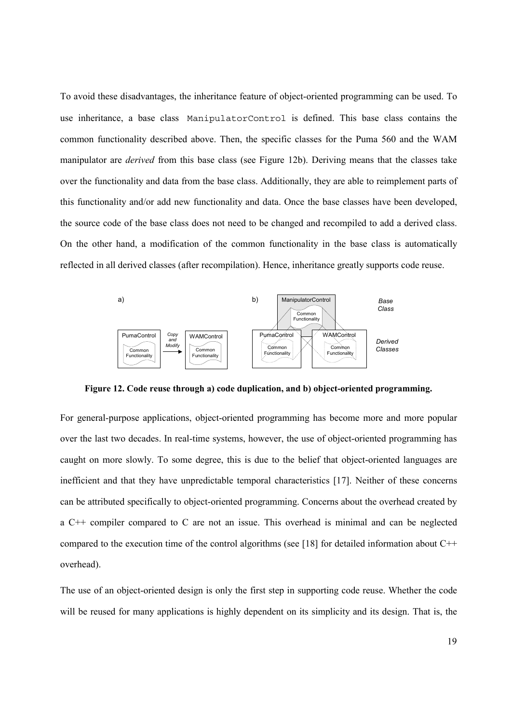To avoid these disadvantages, the inheritance feature of object-oriented programming can be used. To use inheritance, a base class ManipulatorControl is defined. This base class contains the common functionality described above. Then, the specific classes for the Puma 560 and the WAM manipulator are *derived* from this base class (see Figure 12b). Deriving means that the classes take over the functionality and data from the base class. Additionally, they are able to reimplement parts of this functionality and/or add new functionality and data. Once the base classes have been developed, the source code of the base class does not need to be changed and recompiled to add a derived class. On the other hand, a modification of the common functionality in the base class is automatically reflected in all derived classes (after recompilation). Hence, inheritance greatly supports code reuse.



**Figure 12. Code reuse through a) code duplication, and b) object-oriented programming.** 

For general-purpose applications, object-oriented programming has become more and more popular over the last two decades. In real-time systems, however, the use of object-oriented programming has caught on more slowly. To some degree, this is due to the belief that object-oriented languages are inefficient and that they have unpredictable temporal characteristics [17]. Neither of these concerns can be attributed specifically to object-oriented programming. Concerns about the overhead created by a C++ compiler compared to C are not an issue. This overhead is minimal and can be neglected compared to the execution time of the control algorithms (see [18] for detailed information about C++ overhead).

The use of an object-oriented design is only the first step in supporting code reuse. Whether the code will be reused for many applications is highly dependent on its simplicity and its design. That is, the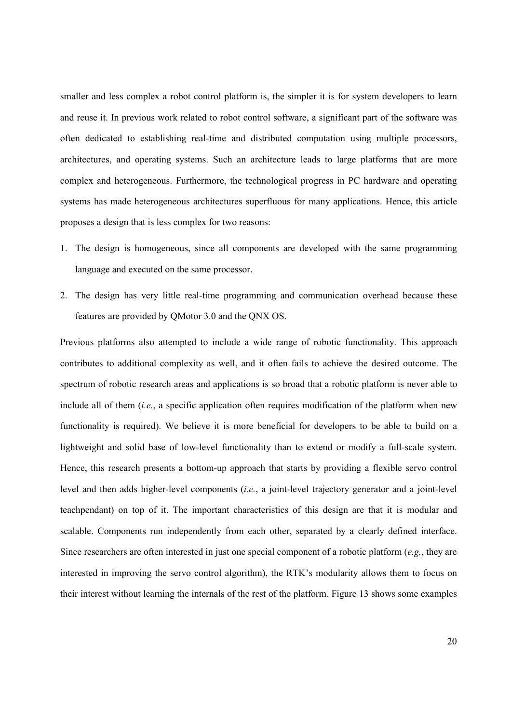smaller and less complex a robot control platform is, the simpler it is for system developers to learn and reuse it. In previous work related to robot control software, a significant part of the software was often dedicated to establishing real-time and distributed computation using multiple processors, architectures, and operating systems. Such an architecture leads to large platforms that are more complex and heterogeneous. Furthermore, the technological progress in PC hardware and operating systems has made heterogeneous architectures superfluous for many applications. Hence, this article proposes a design that is less complex for two reasons:

- 1. The design is homogeneous, since all components are developed with the same programming language and executed on the same processor.
- 2. The design has very little real-time programming and communication overhead because these features are provided by QMotor 3.0 and the QNX OS.

Previous platforms also attempted to include a wide range of robotic functionality. This approach contributes to additional complexity as well, and it often fails to achieve the desired outcome. The spectrum of robotic research areas and applications is so broad that a robotic platform is never able to include all of them (*i.e.*, a specific application often requires modification of the platform when new functionality is required). We believe it is more beneficial for developers to be able to build on a lightweight and solid base of low-level functionality than to extend or modify a full-scale system. Hence, this research presents a bottom-up approach that starts by providing a flexible servo control level and then adds higher-level components (*i.e.*, a joint-level trajectory generator and a joint-level teachpendant) on top of it. The important characteristics of this design are that it is modular and scalable. Components run independently from each other, separated by a clearly defined interface. Since researchers are often interested in just one special component of a robotic platform (*e.g.*, they are interested in improving the servo control algorithm), the RTK's modularity allows them to focus on their interest without learning the internals of the rest of the platform. Figure 13 shows some examples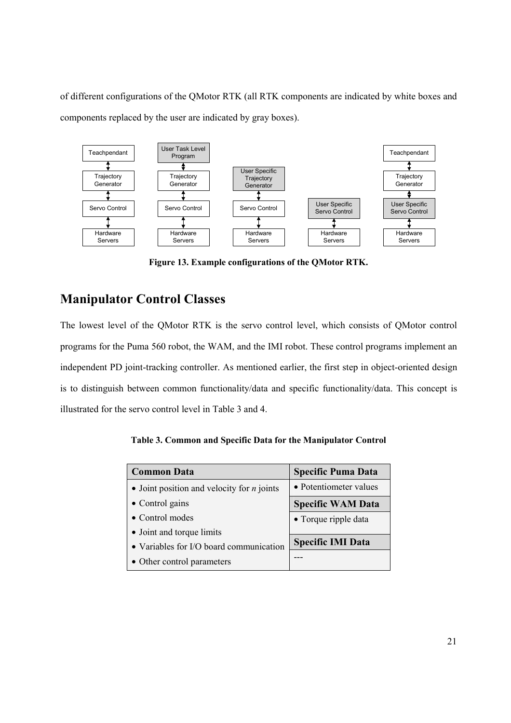of different configurations of the QMotor RTK (all RTK components are indicated by white boxes and components replaced by the user are indicated by gray boxes).



**Figure 13. Example configurations of the QMotor RTK.** 

### **Manipulator Control Classes**

The lowest level of the QMotor RTK is the servo control level, which consists of QMotor control programs for the Puma 560 robot, the WAM, and the IMI robot. These control programs implement an independent PD joint-tracking controller. As mentioned earlier, the first step in object-oriented design is to distinguish between common functionality/data and specific functionality/data. This concept is illustrated for the servo control level in Table 3 and 4.

| Table 3. Common and Specific Data for the Manipulator Control |  |  |  |
|---------------------------------------------------------------|--|--|--|
|---------------------------------------------------------------|--|--|--|

| <b>Common Data</b>                           | <b>Specific Puma Data</b> |
|----------------------------------------------|---------------------------|
| • Joint position and velocity for $n$ joints | • Potentiometer values    |
| • Control gains                              | <b>Specific WAM Data</b>  |
| $\bullet$ Control modes                      | • Torque ripple data      |
| • Joint and torque limits                    |                           |
| • Variables for I/O board communication      | <b>Specific IMI Data</b>  |
| • Other control parameters                   |                           |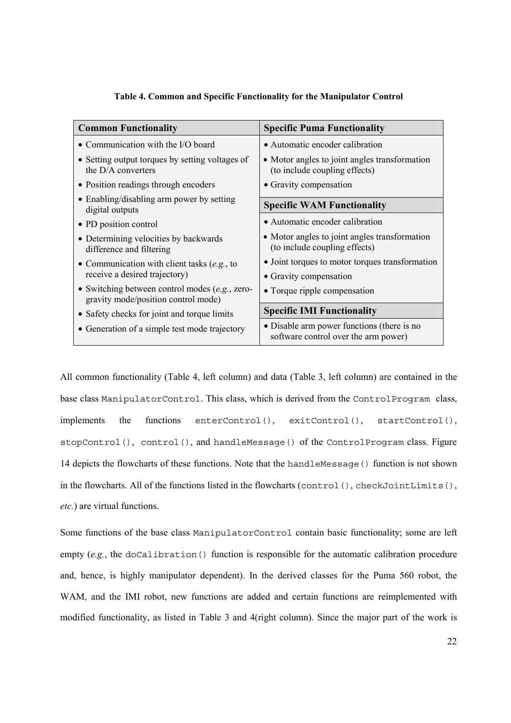| <b>Common Functionality</b>                                                              | <b>Specific Puma Functionality</b>                                                 |
|------------------------------------------------------------------------------------------|------------------------------------------------------------------------------------|
| • Communication with the I/O board                                                       | • Automatic encoder calibration                                                    |
| • Setting output torques by setting voltages of<br>the $D/A$ converters                  | • Motor angles to joint angles transformation<br>(to include coupling effects)     |
| • Position readings through encoders                                                     | • Gravity compensation                                                             |
| • Enabling/disabling arm power by setting<br>digital outputs                             | <b>Specific WAM Functionality</b>                                                  |
| • PD position control                                                                    | • Automatic encoder calibration                                                    |
| • Determining velocities by backwards<br>difference and filtering                        | • Motor angles to joint angles transformation<br>(to include coupling effects)     |
| • Communication with client tasks $(e.g., to$                                            | • Joint torques to motor torques transformation                                    |
| receive a desired trajectory)                                                            | • Gravity compensation                                                             |
| • Switching between control modes $(e.g., zero-)$<br>gravity mode/position control mode) | • Torque ripple compensation                                                       |
| • Safety checks for joint and torque limits                                              | <b>Specific IMI Functionality</b>                                                  |
| • Generation of a simple test mode trajectory                                            | • Disable arm power functions (there is no<br>software control over the arm power) |

#### **Table 4. Common and Specific Functionality for the Manipulator Control**

All common functionality (Table 4, left column) and data (Table 3, left column) are contained in the base class ManipulatorControl. This class, which is derived from the ControlProgram class, implements the functions enterControl(), exitControl(), startControl(), stopControl(), control(), and handleMessage() of the ControlProgram class. Figure 14 depicts the flowcharts of these functions. Note that the handleMessage() function is not shown in the flowcharts. All of the functions listed in the flowcharts (control(), checkJointLimits(), *etc.*) are virtual functions.

Some functions of the base class ManipulatorControl contain basic functionality; some are left empty (*e.g.*, the doCalibration() function is responsible for the automatic calibration procedure and, hence, is highly manipulator dependent). In the derived classes for the Puma 560 robot, the WAM, and the IMI robot, new functions are added and certain functions are reimplemented with modified functionality, as listed in Table 3 and 4(right column). Since the major part of the work is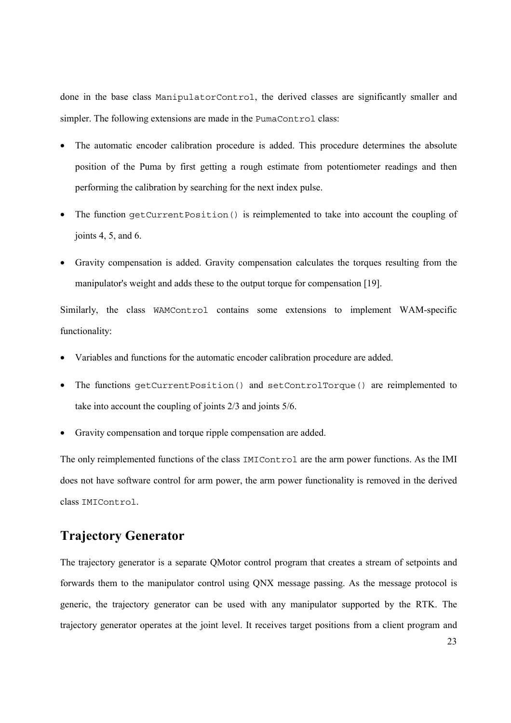done in the base class ManipulatorControl, the derived classes are significantly smaller and simpler. The following extensions are made in the PumaControl class:

- The automatic encoder calibration procedure is added. This procedure determines the absolute position of the Puma by first getting a rough estimate from potentiometer readings and then performing the calibration by searching for the next index pulse.
- The function getCurrentPosition () is reimplemented to take into account the coupling of joints 4, 5, and 6.
- Gravity compensation is added. Gravity compensation calculates the torques resulting from the manipulator's weight and adds these to the output torque for compensation [19].

Similarly, the class WAMControl contains some extensions to implement WAM-specific functionality:

- Variables and functions for the automatic encoder calibration procedure are added.
- The functions getCurrentPosition() and setControlTorque() are reimplemented to take into account the coupling of joints 2/3 and joints 5/6.
- Gravity compensation and torque ripple compensation are added.

The only reimplemented functions of the class IMIControl are the arm power functions. As the IMI does not have software control for arm power, the arm power functionality is removed in the derived class IMIControl.

### **Trajectory Generator**

The trajectory generator is a separate QMotor control program that creates a stream of setpoints and forwards them to the manipulator control using QNX message passing. As the message protocol is generic, the trajectory generator can be used with any manipulator supported by the RTK. The trajectory generator operates at the joint level. It receives target positions from a client program and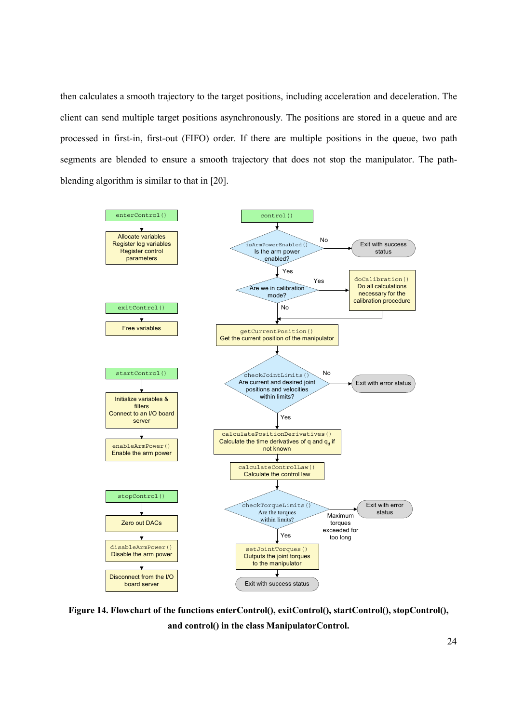then calculates a smooth trajectory to the target positions, including acceleration and deceleration. The client can send multiple target positions asynchronously. The positions are stored in a queue and are processed in first-in, first-out (FIFO) order. If there are multiple positions in the queue, two path segments are blended to ensure a smooth trajectory that does not stop the manipulator. The pathblending algorithm is similar to that in [20].



Figure 14. Flowchart of the functions enterControl(), exitControl(), startControl(), stopControl(), **and control() in the class ManipulatorControl.**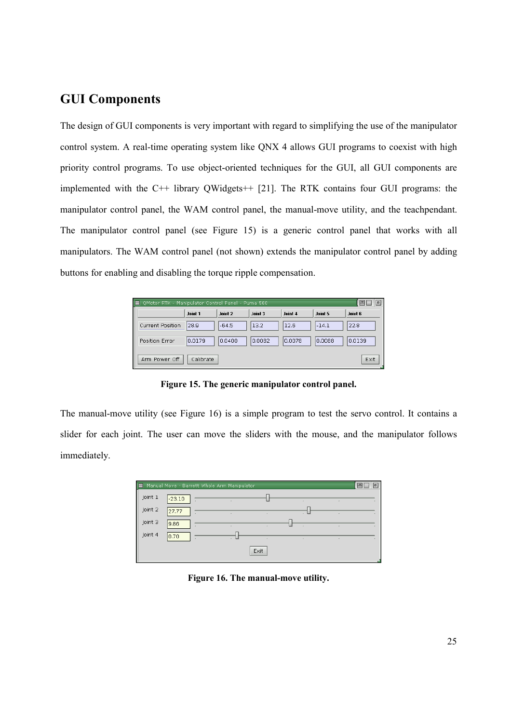### **GUI Components**

The design of GUI components is very important with regard to simplifying the use of the manipulator control system. A real-time operating system like QNX 4 allows GUI programs to coexist with high priority control programs. To use object-oriented techniques for the GUI, all GUI components are implemented with the C++ library QWidgets++ [21]. The RTK contains four GUI programs: the manipulator control panel, the WAM control panel, the manual-move utility, and the teachpendant. The manipulator control panel (see Figure 15) is a generic control panel that works with all manipulators. The WAM control panel (not shown) extends the manipulator control panel by adding buttons for enabling and disabling the torque ripple compensation.

| QMotor RTK - Manipulator Control Panel - Puma 560<br>⋿ |           |         |         |         |         | ⊫       |
|--------------------------------------------------------|-----------|---------|---------|---------|---------|---------|
|                                                        | Joint 1   | Joint 2 | Joint 3 | Joint 4 | Joint 5 | Joint 6 |
| <b>Current Position</b>                                | 28.9      | $-64.5$ | 13.2    | 12.6    | $-14.1$ | 22.8    |
| Position Error                                         | 0.0179    | 10.0400 | 10.0082 | 0.0078  | 0.0088  | 0.0139  |
| Arm Power Off                                          | Calibrate |         |         |         |         | Exit    |

**Figure 15. The generic manipulator control panel.** 

The manual-move utility (see Figure 16) is a simple program to test the servo control. It contains a slider for each joint. The user can move the sliders with the mouse, and the manipulator follows immediately.

| $\equiv$ |          | Manual Move - Barrett Whole Arm Manipulator |      |   | l¤<br>$\mathbb{R}$ |
|----------|----------|---------------------------------------------|------|---|--------------------|
| Joint 1  | $-23.10$ |                                             |      |   |                    |
| Joint 2  | 27.77    |                                             |      |   |                    |
| Joint 3  | 9.86     |                                             |      |   |                    |
| Joint 4  | 0.70     |                                             |      | ٠ |                    |
|          |          |                                             | Exit |   |                    |

**Figure 16. The manual-move utility.**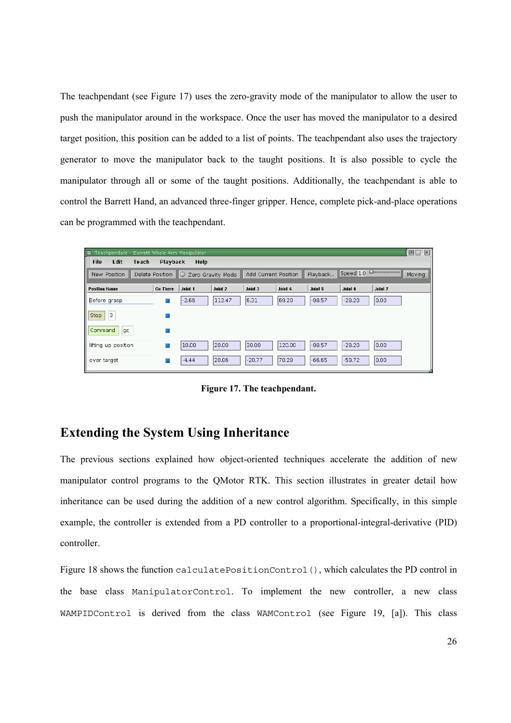The teachpendant (see Figure 17) uses the zero-gravity mode of the manipulator to allow the user to push the manipulator around in the workspace. Once the user has moved the manipulator to a desired target position, this position can be added to a list of points. The teachpendant also uses the trajectory generator to move the manipulator back to the taught positions. It is also possible to cycle the manipulator through all or some of the taught positions. Additionally, the teachpendant is able to control the Barrett Hand, an advanced three-finger gripper. Hence, complete pick-and-place operations can be programmed with the teachpendant.

| Teachpendant - Barrett Whole Arm Manipulator<br>⊫ |                 |                                       |         |                      |         |          |           |            | 国国<br>$\Box$ |
|---------------------------------------------------|-----------------|---------------------------------------|---------|----------------------|---------|----------|-----------|------------|--------------|
| T<br>File<br>Edit<br>Teach                        | Playback        | Help                                  |         |                      |         |          |           |            |              |
| New Position                                      |                 | Delete Position   O Zero Gravity Mode |         | Add Current Position |         | Playback | Speed 1.0 | <b>Q</b> . | Moving       |
| <b>Position Name</b>                              | <b>Go There</b> | Joint 1                               | Joint 2 | Joint 3              | Joint 4 | Joint 5  | Joint 6   | Joint 7    |              |
| Before grasp                                      |                 | $-2.66$                               | 112.47  | 6.31                 | 69.20   | $-98.57$ | $-28.20$  | 0.00       |              |
| 3<br>Stop                                         |                 |                                       |         |                      |         |          |           |            |              |
| Command<br>gc.                                    |                 |                                       |         |                      |         |          |           |            |              |
| lifting up position                               |                 | 10.00                                 | 20.00   | 30.00                | 120.00  | $-98.57$ | $-28.20$  | 0.00       |              |
| over target                                       |                 | $-4.44$                               | 20.86   | $-20.77$             | 70.28   | $-66.65$ | $-59.72$  | 0.00       |              |

**Figure 17. The teachpendant.** 

### **Extending the System Using Inheritance**

The previous sections explained how object-oriented techniques accelerate the addition of new manipulator control programs to the QMotor RTK. This section illustrates in greater detail how inheritance can be used during the addition of a new control algorithm. Specifically, in this simple example, the controller is extended from a PD controller to a proportional-integral-derivative (PID) controller.

Figure 18 shows the function calculatePositionControl(), which calculates the PD control in the base class ManipulatorControl. To implement the new controller, a new class WAMPIDControl is derived from the class WAMControl (see Figure 19, [a]). This class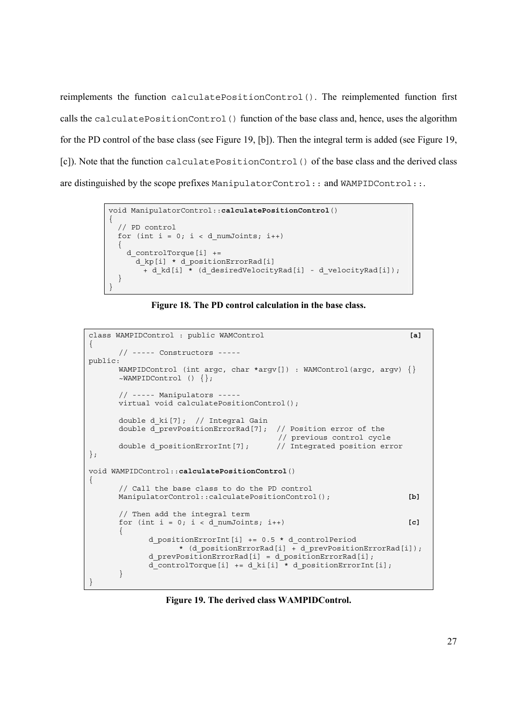reimplements the function calculatePositionControl(). The reimplemented function first calls the calculatePositionControl() function of the base class and, hence, uses the algorithm for the PD control of the base class (see Figure 19, [b]). Then the integral term is added (see Figure 19, [c]). Note that the function calculatePositionControl() of the base class and the derived class are distinguished by the scope prefixes ManipulatorControl:: and WAMPIDControl::.

```
void ManipulatorControl::calculatePositionControl()
{
  // PD control
  for (int i = 0; i < d numJoints; i++)
  {
    d_controlTorque[i] +=
      d_kp[i] * d_positionErrorRad[i]
        \overline{+} d_kd[i] \overline{*} (d_desiredVelocityRad[i]) - d_velocityRad[i]);
  }
}
```


```
class WAMPIDControl : public WAMControl [a]
{
      // ----- Constructors -----
public:
      WAMPIDControl (int argc, char *argv[]) : WAMControl(argc, argv) \{\}~WAMPIDControl () {};
      // ----- Manipulators -----
      virtual void calculatePositionControl();
      double d ki[7]; // Integral Gain
      double d_prevPositionErrorRad[7]; // Position error of the
                                        // previous control cycle<br>// Integrated position error
      double d positionErrorInt[7];
};
void WAMPIDControl::calculatePositionControl()
{
      // Call the base class to do the PD control
      ManipulatorControl::calculatePositionControl(); [b]
      // Then add the integral term
      for (int i = 0; i < d_numJoints; i++) [c]
      {
            d_positionErrorInt[i] += 0.5 * d controlPeriod
                  * (d_positionErrorRad[i] + d_prevPositionErrorRad[i]);
            d_prevPositionErrorRad[i] = d_positionErrorRad[i];
            d_controlTorque[i] += d_ki[i] * d_positionErrorInt[i];
      }
}
```
**Figure 19. The derived class WAMPIDControl.**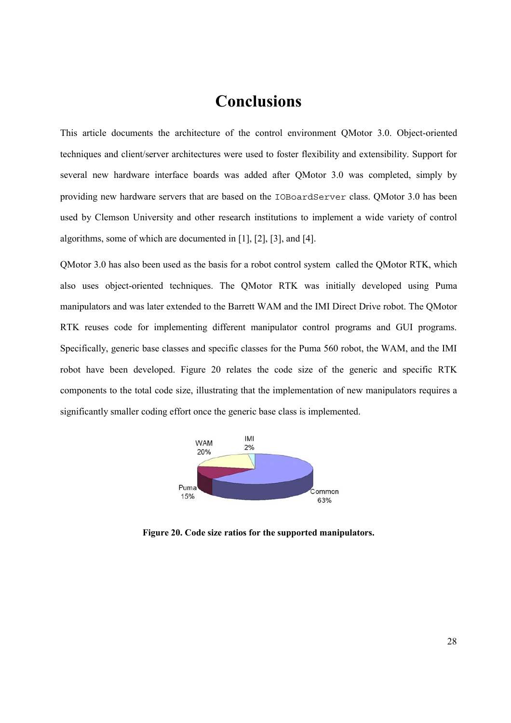## **Conclusions**

This article documents the architecture of the control environment QMotor 3.0. Object-oriented techniques and client/server architectures were used to foster flexibility and extensibility. Support for several new hardware interface boards was added after QMotor 3.0 was completed, simply by providing new hardware servers that are based on the IOBoardServer class. QMotor 3.0 has been used by Clemson University and other research institutions to implement a wide variety of control algorithms, some of which are documented in [1], [2], [3], and [4].

QMotor 3.0 has also been used as the basis for a robot control system called the QMotor RTK, which also uses object-oriented techniques. The QMotor RTK was initially developed using Puma manipulators and was later extended to the Barrett WAM and the IMI Direct Drive robot. The QMotor RTK reuses code for implementing different manipulator control programs and GUI programs. Specifically, generic base classes and specific classes for the Puma 560 robot, the WAM, and the IMI robot have been developed. Figure 20 relates the code size of the generic and specific RTK components to the total code size, illustrating that the implementation of new manipulators requires a significantly smaller coding effort once the generic base class is implemented.



**Figure 20. Code size ratios for the supported manipulators.**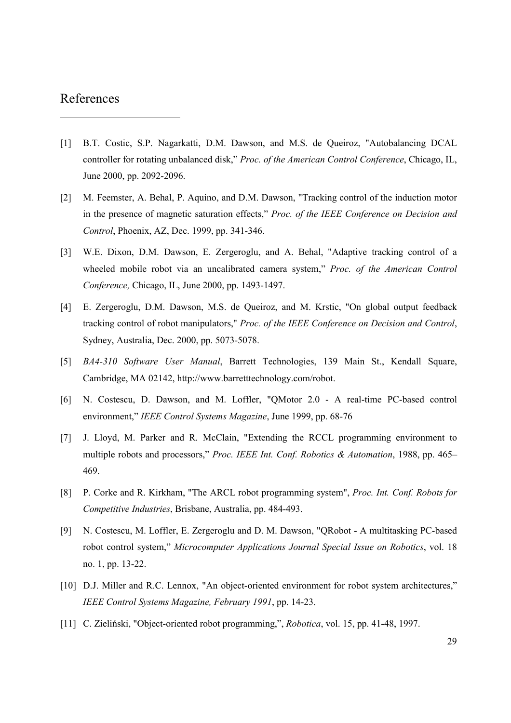### References

- [1] B.T. Costic, S.P. Nagarkatti, D.M. Dawson, and M.S. de Queiroz, "Autobalancing DCAL controller for rotating unbalanced disk," *Proc. of the American Control Conference*, Chicago, IL, June 2000, pp. 2092-2096.
- [2] M. Feemster, A. Behal, P. Aquino, and D.M. Dawson, "Tracking control of the induction motor in the presence of magnetic saturation effects," *Proc. of the IEEE Conference on Decision and Control*, Phoenix, AZ, Dec. 1999, pp. 341-346.
- [3] W.E. Dixon, D.M. Dawson, E. Zergeroglu, and A. Behal, "Adaptive tracking control of a wheeled mobile robot via an uncalibrated camera system," *Proc. of the American Control Conference,* Chicago, IL, June 2000, pp. 1493-1497.
- [4] E. Zergeroglu, D.M. Dawson, M.S. de Queiroz, and M. Krstic, "On global output feedback tracking control of robot manipulators," *Proc. of the IEEE Conference on Decision and Control*, Sydney, Australia, Dec. 2000, pp. 5073-5078.
- [5] *BA4-310 Software User Manual*, Barrett Technologies, 139 Main St., Kendall Square, Cambridge, MA 02142, http://www.barretttechnology.com/robot.
- [6] N. Costescu, D. Dawson, and M. Loffler, "QMotor 2.0 A real-time PC-based control environment," *IEEE Control Systems Magazine*, June 1999, pp. 68-76
- [7] J. Lloyd, M. Parker and R. McClain, "Extending the RCCL programming environment to multiple robots and processors," *Proc. IEEE Int. Conf. Robotics & Automation*, 1988, pp. 465– 469.
- [8] P. Corke and R. Kirkham, "The ARCL robot programming system", *Proc. Int. Conf. Robots for Competitive Industries*, Brisbane, Australia, pp. 484-493.
- [9] N. Costescu, M. Loffler, E. Zergeroglu and D. M. Dawson, "QRobot A multitasking PC-based robot control system," *Microcomputer Applications Journal Special Issue on Robotics*, vol. 18 no. 1, pp. 13-22.
- [10] D.J. Miller and R.C. Lennox, "An object-oriented environment for robot system architectures," *IEEE Control Systems Magazine, February 1991*, pp. 14-23.
- [11] C. Zieliński, "Object-oriented robot programming,", *Robotica*, vol. 15, pp. 41-48, 1997.